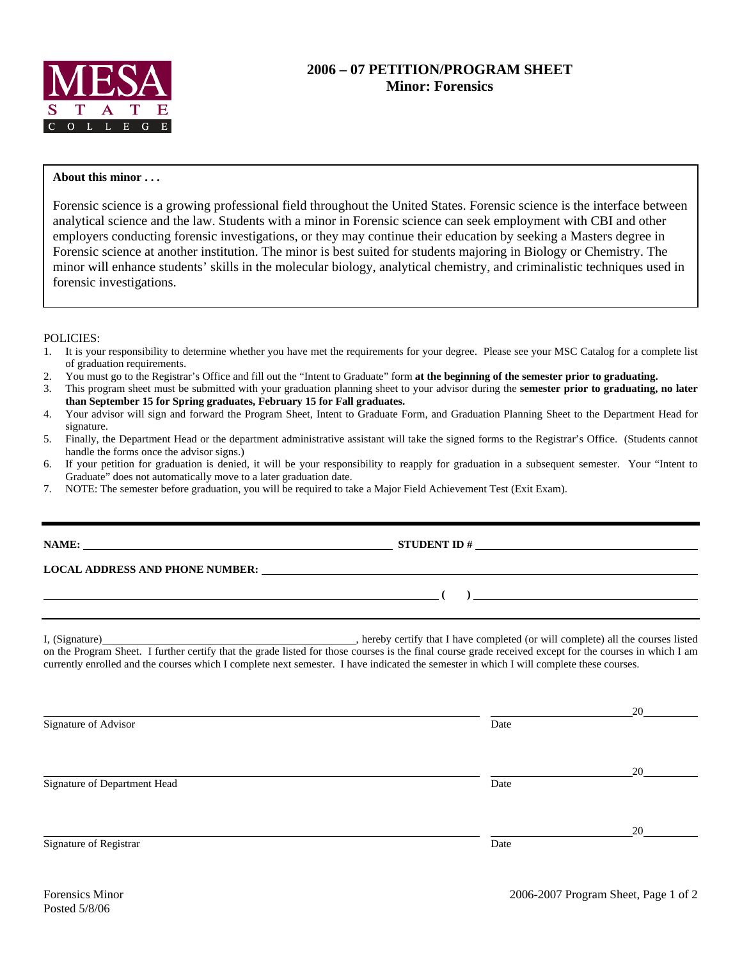

## **About this minor . . .**

Forensic science is a growing professional field throughout the United States. Forensic science is the interface between analytical science and the law. Students with a minor in Forensic science can seek employment with CBI and other employers conducting forensic investigations, or they may continue their education by seeking a Masters degree in Forensic science at another institution. The minor is best suited for students majoring in Biology or Chemistry. The minor will enhance students' skills in the molecular biology, analytical chemistry, and criminalistic techniques used in forensic investigations.

## POLICIES:

- 1. It is your responsibility to determine whether you have met the requirements for your degree. Please see your MSC Catalog for a complete list of graduation requirements.
- 2. You must go to the Registrar's Office and fill out the "Intent to Graduate" form **at the beginning of the semester prior to graduating.**
- 3. This program sheet must be submitted with your graduation planning sheet to your advisor during the **semester prior to graduating, no later than September 15 for Spring graduates, February 15 for Fall graduates.**
- 4. Your advisor will sign and forward the Program Sheet, Intent to Graduate Form, and Graduation Planning Sheet to the Department Head for signature.
- 5. Finally, the Department Head or the department administrative assistant will take the signed forms to the Registrar's Office. (Students cannot handle the forms once the advisor signs.)
- 6. If your petition for graduation is denied, it will be your responsibility to reapply for graduation in a subsequent semester. Your "Intent to Graduate" does not automatically move to a later graduation date.
- 7. NOTE: The semester before graduation, you will be required to take a Major Field Achievement Test (Exit Exam).

|                              | NAME: $\frac{1}{2}$ STUDENT ID #                                                                                                                                                                                                                                                                    |              |  |  |  |  |  |
|------------------------------|-----------------------------------------------------------------------------------------------------------------------------------------------------------------------------------------------------------------------------------------------------------------------------------------------------|--------------|--|--|--|--|--|
|                              |                                                                                                                                                                                                                                                                                                     |              |  |  |  |  |  |
|                              | $\overline{a}$ (b) and the contract of $\overline{a}$ (b) and the contract of $\overline{a}$ (b) and the contract of $\overline{a}$                                                                                                                                                                 |              |  |  |  |  |  |
|                              | on the Program Sheet. I further certify that the grade listed for those courses is the final course grade received except for the courses in which I am<br>currently enrolled and the courses which I complete next semester. I have indicated the semester in which I will complete these courses. |              |  |  |  |  |  |
| Signature of Advisor         | Date                                                                                                                                                                                                                                                                                                |              |  |  |  |  |  |
| Signature of Department Head | Date                                                                                                                                                                                                                                                                                                | 20           |  |  |  |  |  |
| Signature of Registrar       | Date                                                                                                                                                                                                                                                                                                | $20^{\circ}$ |  |  |  |  |  |